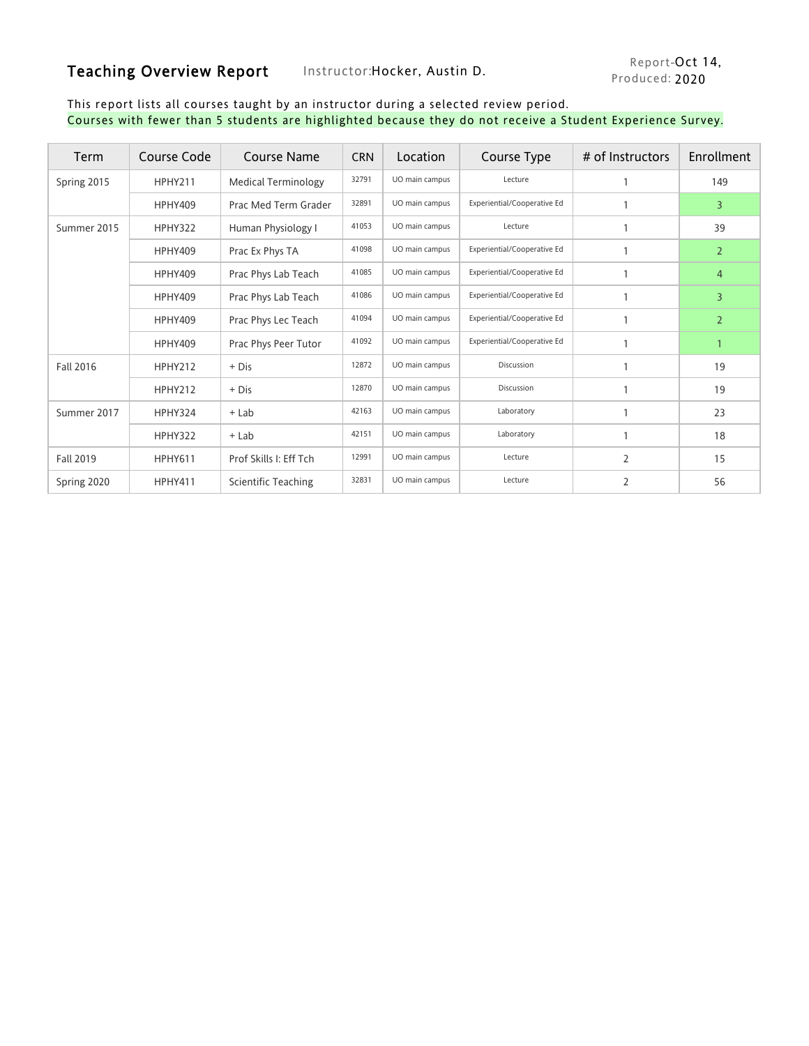## Teaching Overview Report Instructor: Hocker, Austin D.

#### This report lists all courses taught by an instructor during a selected review period. Courses with fewer than 5 students are highlighted because they do not receive a Student Experience Survey.

| <b>Term</b>      | Course Code    | Course Name                | <b>CRN</b> | Location       | Course Type                 | # of Instructors | Enrollment     |  |
|------------------|----------------|----------------------------|------------|----------------|-----------------------------|------------------|----------------|--|
| Spring 2015      | HPHY211        | <b>Medical Terminology</b> | 32791      | UO main campus | Lecture                     |                  | 149            |  |
|                  | <b>HPHY409</b> | Prac Med Term Grader       | 32891      | UO main campus | Experiential/Cooperative Ed |                  | 3              |  |
| Summer 2015      | HPHY322        | Human Physiology I         | 41053      | UO main campus | Lecture                     | $\mathbf{1}$     | 39             |  |
|                  | <b>HPHY409</b> | Prac Ex Phys TA            | 41098      | UO main campus | Experiential/Cooperative Ed |                  | $\overline{2}$ |  |
|                  | <b>HPHY409</b> | Prac Phys Lab Teach        | 41085      | UO main campus | Experiential/Cooperative Ed |                  | $\overline{4}$ |  |
|                  | <b>HPHY409</b> | Prac Phys Lab Teach        | 41086      | UO main campus | Experiential/Cooperative Ed |                  | 3              |  |
|                  | <b>HPHY409</b> | Prac Phys Lec Teach        | 41094      | UO main campus | Experiential/Cooperative Ed |                  | $\overline{2}$ |  |
|                  | <b>HPHY409</b> | Prac Phys Peer Tutor       | 41092      | UO main campus | Experiential/Cooperative Ed |                  | 1              |  |
| <b>Fall 2016</b> | HPHY212        | $+$ Dis                    | 12872      | UO main campus | Discussion                  |                  | 19             |  |
|                  | HPHY212        | $+$ Dis                    | 12870      | UO main campus | Discussion                  |                  | 19             |  |
| Summer 2017      | HPHY324        | $+$ Lab                    | 42163      | UO main campus | Laboratory                  | $\mathbf{1}$     | 23             |  |
|                  | HPHY322        | $+$ Lab                    | 42151      | UO main campus | Laboratory                  | $\mathbf{1}$     | 18             |  |
| <b>Fall 2019</b> | <b>HPHY611</b> | Prof Skills I: Eff Tch     | 12991      | UO main campus | Lecture                     | $\overline{2}$   | 15             |  |
| Spring 2020      | <b>HPHY411</b> | Scientific Teaching        | 32831      | UO main campus | Lecture                     | $\overline{2}$   | 56             |  |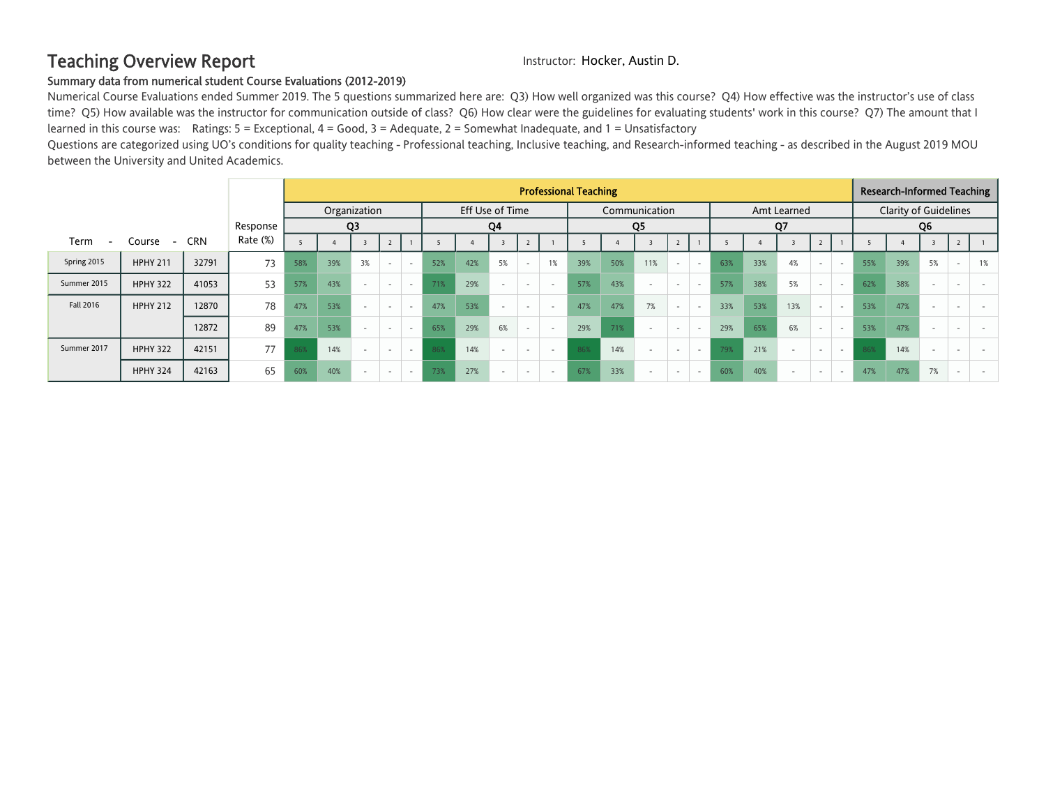## Teaching Overview Report **Instructor: Hocker, Austin D.**

#### Summary data from numerical student Course Evaluations (2012-2019)

Numerical Course Evaluations ended Summer 2019. The 5 questions summarized here are: Q3) How well organized was this course? Q4) How effective was the instructor's use of class time? Q5) How available was the instructor for communication outside of class? Q6) How clear were the guidelines for evaluating students' work in this course? Q7) The amount that I learned in this course was: Ratings: 5 = Exceptional, 4 = Good, 3 = Adequate, 2 = Somewhat Inadequate, and 1 = Unsatisfactory

Questions are categorized using UO's conditions for quality teaching - Professional teaching, Inclusive teaching, and Research-informed teaching - as described in the August 2019 MOU between the University and United Academics.

|             |                                    |            |          | <b>Professional Teaching</b> |              |                |                          |                          |                 |     |        |                          |    |     |     | <b>Research-Informed Teaching</b> |                          |                          |     |     |                          |                              |                          |     |     |    |  |    |
|-------------|------------------------------------|------------|----------|------------------------------|--------------|----------------|--------------------------|--------------------------|-----------------|-----|--------|--------------------------|----|-----|-----|-----------------------------------|--------------------------|--------------------------|-----|-----|--------------------------|------------------------------|--------------------------|-----|-----|----|--|----|
|             |                                    |            |          |                              | Organization |                |                          |                          | Eff Use of Time |     |        |                          |    |     |     | Communication                     | Amt Learned              |                          |     |     |                          | <b>Clarity of Guidelines</b> |                          |     |     |    |  |    |
|             |                                    |            | Response |                              |              | Q <sub>3</sub> |                          |                          | Q4              |     |        | Q5                       |    |     |     |                                   | Q7                       |                          |     |     | Q <sub>6</sub>           |                              |                          |     |     |    |  |    |
| Term        | Course<br>$\overline{\phantom{a}}$ | <b>CRN</b> | Rate (%) |                              |              |                |                          |                          |                 |     |        |                          |    |     |     |                                   |                          |                          |     |     |                          |                              |                          |     |     |    |  |    |
| Spring 2015 | <b>HPHY 211</b>                    | 32791      | 73       | 58%                          | 39%          | 3%             |                          |                          | 52%             | 42% | 5%     |                          | 1% | 39% | 50% | 11%                               |                          | $\sim$                   | 63% | 33% | 4%                       | $\sim$                       | $\overline{\phantom{a}}$ | 55% | 39% | 5% |  | 1% |
| Summer 2015 | <b>HPHY 322</b>                    | 41053      | 53       | 57%                          | 43%          | $\sim$         | $\sim$                   | $\sim$                   | 71%             | 29% | $\sim$ | $\overline{\phantom{a}}$ |    | 57% | 43% | $\sim$                            | $\overline{\phantom{a}}$ | $\overline{\phantom{a}}$ | 57% | 38% | 5%                       | $\overline{\phantom{a}}$     | $\sim$                   | 62% | 38% |    |  |    |
| Fall 2016   | <b>HPHY 212</b>                    | 12870      | 78       | 47%                          | 53%          | $\sim$         | $\overline{\phantom{a}}$ | $\overline{\phantom{a}}$ | 47%             | 53% | $\sim$ | $\overline{\phantom{a}}$ |    | 47% | 47% | 7%                                |                          | $\sim$                   | 33% | 53% | 13%                      | $\sim$                       | $\overline{\phantom{a}}$ | 53% | 47% |    |  |    |
|             |                                    | 12872      | 89       | 47%                          | 53%          | $\sim$         | $\overline{\phantom{a}}$ | $\overline{\phantom{a}}$ | 65%             | 29% | 6%     | $\overline{\phantom{a}}$ |    | 29% | 71% | $\sim$                            | $\overline{\phantom{a}}$ | $\sim$                   | 29% | 65% | 6%                       | $\sim$                       | $\sim$                   | 53% | 47% |    |  |    |
| Summer 2017 | <b>HPHY 322</b>                    | 42151      | 77       | 86%                          | 14%          | $\sim$         |                          | $\sim$                   | 86%             | 14% | $\sim$ |                          |    | 86% | 14% | $\sim$                            | $\overline{\phantom{a}}$ | $\sim$                   | 79% | 21% |                          | $\overline{\phantom{a}}$     | $\sim$                   | 86% | 14% |    |  |    |
|             | <b>HPHY 324</b>                    | 42163      | 65       | 60%                          | 40%          | $\sim$         | $\overline{\phantom{a}}$ | . .                      | 73%             | 27% | $\sim$ | $\overline{\phantom{a}}$ |    | 67% | 33% |                                   |                          | $\overline{\phantom{a}}$ | 60% | 40% | $\overline{\phantom{a}}$ | $\overline{\phantom{a}}$     | $\sim$                   | 47% | 47% | 7% |  |    |